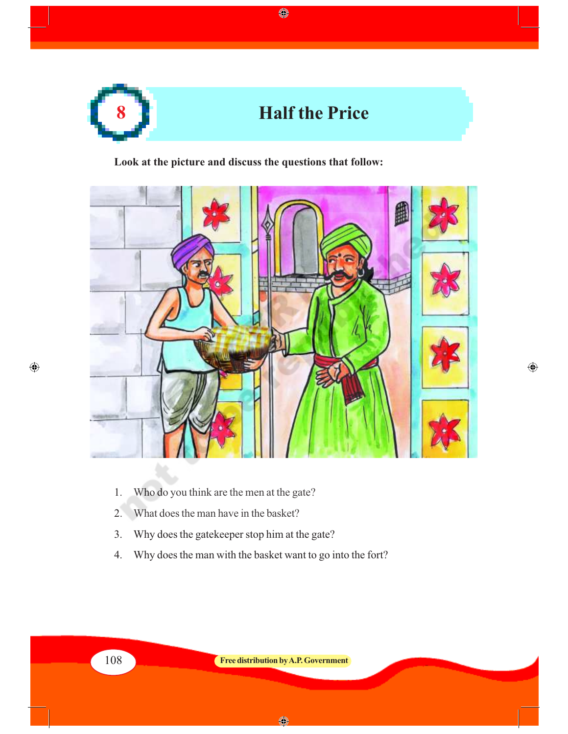

 $\bigcirc$ 

**Look at the picture and discuss the questions that follow:**



 $\bigoplus$ 

- 1. Who do you think are the men at the gate?
- 2. What does the man have in the basket?
- 3. Why does the gatekeeper stop him at the gate?
- 4. Why does the man with the basket want to go into the fort?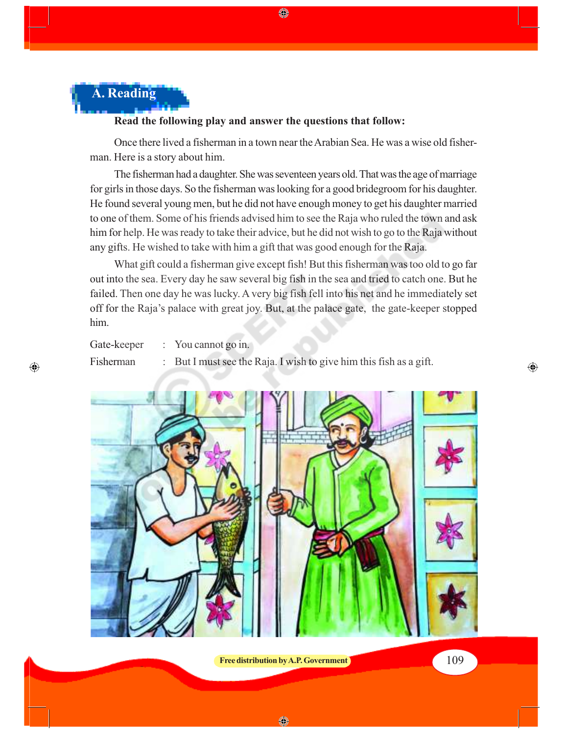

#### **Read the following play and answer the questions that follow:**

Once there lived a fisherman in a town near the Arabian Sea. He was a wise old fisherman. Here is a story about him.

◈

The fisherman had a daughter. She was seventeen years old. That was the age of marriage for girls in those days. So the fisherman was looking for a good bridegroom for his daughter. He found several young men, but he did not have enough money to get his daughter married to one of them. Some of his friends advised him to see the Raja who ruled the town and ask him for help. He was ready to take their advice, but he did not wish to go to the Raja without any gifts. He wished to take with him a gift that was good enough for the Raja.

What gift could a fisherman give except fish! But this fisherman was too old to go far out into the sea. Every day he saw several big fish in the sea and tried to catch one. But he failed. Then one day he was lucky. A very big fish fell into his net and he immediately set off for the Raja's palace with great joy. But, at the palace gate, the gate-keeper stopped him.

Gate-keeper : You cannot go in.

 $\bigoplus$ 

Fisherman : But I must see the Raja. I wish to give him this fish as a gift.



**Free distribution by A.P. Government** 109

 $\bigoplus$ 

◈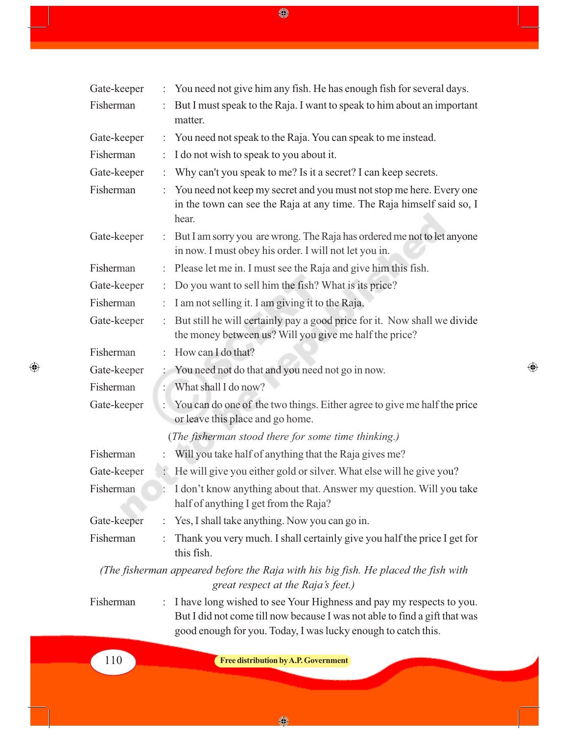$\bigcirc \hspace{-3.5mm} \bigcirc \hspace{-3.5mm} \bigcirc$ 

| Gate-keeper |                                      | You need not give him any fish. He has enough fish for several days.                                                                                                                                               |  |  |
|-------------|--------------------------------------|--------------------------------------------------------------------------------------------------------------------------------------------------------------------------------------------------------------------|--|--|
| Fisherman   |                                      | But I must speak to the Raja. I want to speak to him about an important<br>matter.                                                                                                                                 |  |  |
| Gate-keeper | ÷.                                   | You need not speak to the Raja. You can speak to me instead.                                                                                                                                                       |  |  |
| Fisherman   |                                      | I do not wish to speak to you about it.                                                                                                                                                                            |  |  |
| Gate-keeper | ٠                                    | Why can't you speak to me? Is it a secret? I can keep secrets.                                                                                                                                                     |  |  |
| Fisherman   |                                      | You need not keep my secret and you must not stop me here. Every one<br>in the town can see the Raja at any time. The Raja himself said so, I<br>hear.                                                             |  |  |
| Gate-keeper | ÷.                                   | But I am sorry you are wrong. The Raja has ordered me not to let anyone<br>in now. I must obey his order. I will not let you in.                                                                                   |  |  |
| Fisherman   | t.                                   | Please let me in. I must see the Raja and give him this fish.                                                                                                                                                      |  |  |
| Gate-keeper | ÷                                    | Do you want to sell him the fish? What is its price?                                                                                                                                                               |  |  |
| Fisherman   | ÷.                                   | I am not selling it. I am giving it to the Raja.                                                                                                                                                                   |  |  |
| Gate-keeper | ÷.                                   | But still he will certainly pay a good price for it. Now shall we divide<br>the money between us? Will you give me half the price?                                                                                 |  |  |
| Fisherman   |                                      | How can I do that?                                                                                                                                                                                                 |  |  |
| Gate-keeper | t.                                   | You need not do that and you need not go in now.                                                                                                                                                                   |  |  |
| Fisherman   | ÷.                                   | What shall I do now?                                                                                                                                                                                               |  |  |
| Gate-keeper | ÷.                                   | You can do one of the two things. Either agree to give me half the price<br>or leave this place and go home.                                                                                                       |  |  |
|             |                                      | (The fisherman stood there for some time thinking.)                                                                                                                                                                |  |  |
| Fisherman   |                                      | Will you take half of anything that the Raja gives me?                                                                                                                                                             |  |  |
| Gate-keeper |                                      | He will give you either gold or silver. What else will be give you?                                                                                                                                                |  |  |
| Fisherman   |                                      | I don't know anything about that. Answer my question. Will you take<br>half of anything I get from the Raja?                                                                                                       |  |  |
| Gate-keeper | $\ddot{\ddot{\phantom{}}\phantom{}}$ | Yes, I shall take anything. Now you can go in.                                                                                                                                                                     |  |  |
| Fisherman   |                                      | Thank you very much. I shall certainly give you half the price I get for<br>this fish.                                                                                                                             |  |  |
|             |                                      | (The fisherman appeared before the Raja with his big fish. He placed the fish with<br>great respect at the Raja's feet.)                                                                                           |  |  |
| Fisherman   | ÷.                                   | I have long wished to see Your Highness and pay my respects to you.<br>But I did not come till now because I was not able to find a gift that was<br>good enough for you. Today, I was lucky enough to catch this. |  |  |

 $\bigoplus$ 

 $\bigoplus$ 

110 **Free distribution by A.P. Government**

 $\bigcirc$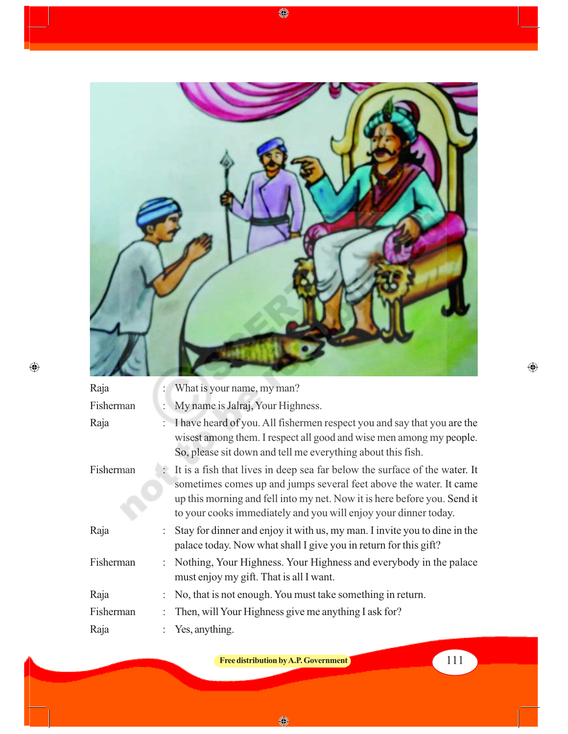

 $\bigoplus$ 

 $\bigcirc\hspace{-1.4mm}$ 

| Raja      |                | What is your name, my man?                                                                                                                                                                                                                                                                        |
|-----------|----------------|---------------------------------------------------------------------------------------------------------------------------------------------------------------------------------------------------------------------------------------------------------------------------------------------------|
| Fisherman | $\ddot{\cdot}$ | My name is Jalraj, Your Highness.                                                                                                                                                                                                                                                                 |
| Raja      |                | I have heard of you. All fishermen respect you and say that you are the<br>wisest among them. I respect all good and wise men among my people.<br>So, please sit down and tell me everything about this fish.                                                                                     |
| Fisherman |                | : It is a fish that lives in deep sea far below the surface of the water. It<br>sometimes comes up and jumps several feet above the water. It came<br>up this morning and fell into my net. Now it is here before you. Send it<br>to your cooks immediately and you will enjoy your dinner today. |
| Raja      |                | Stay for dinner and enjoy it with us, my man. I invite you to dine in the<br>palace today. Now what shall I give you in return for this gift?                                                                                                                                                     |
| Fisherman |                | Nothing, Your Highness. Your Highness and everybody in the palace<br>must enjoy my gift. That is all I want.                                                                                                                                                                                      |
| Raja      |                | No, that is not enough. You must take something in return.                                                                                                                                                                                                                                        |
| Fisherman |                | Then, will Your Highness give me anything I ask for?                                                                                                                                                                                                                                              |
| Raja      |                | Yes, anything.                                                                                                                                                                                                                                                                                    |

**Free distribution by A.P. Government** 

 $\bigoplus$ 

 $\bigcirc$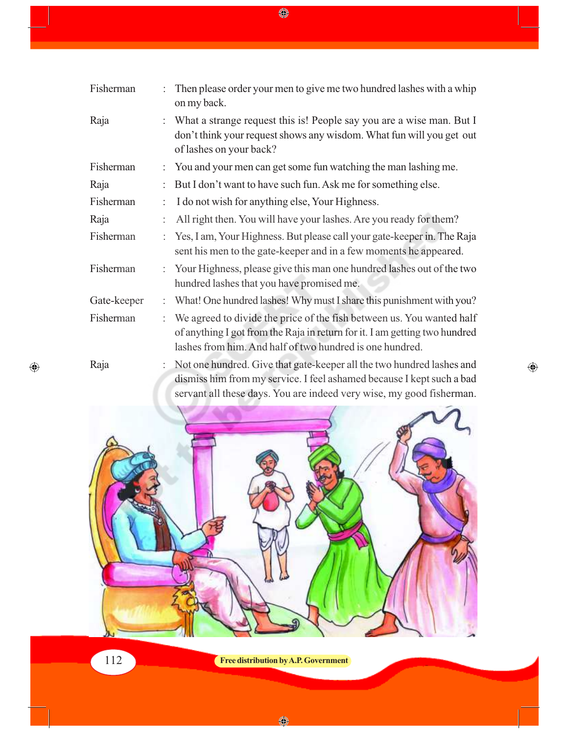| Fisherman   | Then please order your men to give me two hundred lashes with a whip<br>on my back.                                                                                                                             |
|-------------|-----------------------------------------------------------------------------------------------------------------------------------------------------------------------------------------------------------------|
| Raja        | What a strange request this is! People say you are a wise man. But I<br>don't think your request shows any wisdom. What fun will you get out<br>of lashes on your back?                                         |
| Fisherman   | You and your men can get some fun watching the man lashing me.                                                                                                                                                  |
| Raja        | But I don't want to have such fun. Ask me for something else.                                                                                                                                                   |
| Fisherman   | I do not wish for anything else, Your Highness.                                                                                                                                                                 |
| Raja        | All right then. You will have your lashes. Are you ready for them?                                                                                                                                              |
| Fisherman   | Yes, I am, Your Highness. But please call your gate-keeper in. The Raja<br>sent his men to the gate-keeper and in a few moments he appeared.                                                                    |
| Fisherman   | Your Highness, please give this man one hundred lashes out of the two<br>hundred lashes that you have promised me.                                                                                              |
| Gate-keeper | What! One hundred lashes! Why must I share this punishment with you?                                                                                                                                            |
| Fisherman   | We agreed to divide the price of the fish between us. You wanted half<br>of anything I got from the Raja in return for it. I am getting two hundred<br>lashes from him. And half of two hundred is one hundred. |
| Raja        | Not one hundred. Give that gate-keeper all the two hundred lashes and<br>dismiss him from my service. I feel ashamed because I kept such a bad                                                                  |

 $\bigoplus$ 

 $\bigcirc$ 



112 **Free distribution by A.P. Government**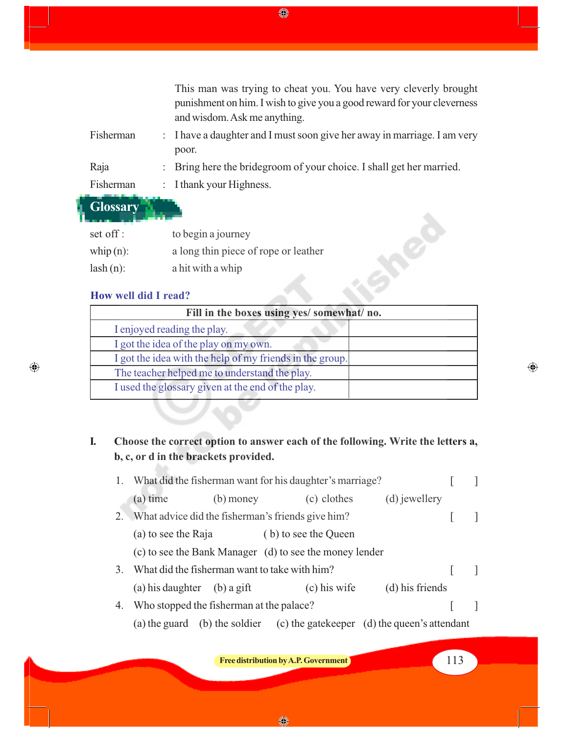This man was trying to cheat you. You have very cleverly brought punishment on him. I wish to give you a good reward for your cleverness and wisdom. Ask me anything. Fisherman : I have a daughter and I must soon give her away in marriage. I am very poor. Raja : Bring here the bridegroom of your choice. I shall get her married. Fisherman : I thank your Highness.

**Glossary**

| set off :    | to begin a journey                   |
|--------------|--------------------------------------|
| whip $(n)$ : | a long thin piece of rope or leather |
| $lash(n)$ :  | a hit with a whip                    |

### **How well did I read?**

 $\bigoplus$ 

| $set$ off :                                       | to begin a journey                                       |  |  |  |
|---------------------------------------------------|----------------------------------------------------------|--|--|--|
| $\n  whip(n):\n$                                  | a long thin piece of rope or leather                     |  |  |  |
| $ash(n)$ :                                        | a hit with a whip                                        |  |  |  |
| How well did I read?                              |                                                          |  |  |  |
|                                                   | Fill in the boxes using yes/ somewhat/ no.               |  |  |  |
|                                                   | I enjoyed reading the play.                              |  |  |  |
|                                                   | I got the idea of the play on my own.                    |  |  |  |
|                                                   | I got the idea with the help of my friends in the group. |  |  |  |
| The teacher helped me to understand the play.     |                                                          |  |  |  |
| I used the glossary given at the end of the play. |                                                          |  |  |  |
|                                                   |                                                          |  |  |  |

## **I. Choose the correct option to answer each of the following. Write the letters a, b, c, or d in the brackets provided.**

|    | 1. What did the fisherman want for his daughter's marriage? |                                          |                                                         |                                               |  |  |
|----|-------------------------------------------------------------|------------------------------------------|---------------------------------------------------------|-----------------------------------------------|--|--|
|    | (a) time                                                    | $(b)$ money                              | (c) clothes                                             | (d) jewellery                                 |  |  |
| 2. |                                                             |                                          | What advice did the fisherman's friends give him?       |                                               |  |  |
|    | (a) to see the Raja                                         |                                          | (b) to see the Queen                                    |                                               |  |  |
|    |                                                             |                                          | (c) to see the Bank Manager (d) to see the money lender |                                               |  |  |
| 3. |                                                             |                                          | What did the fisherman want to take with him?           |                                               |  |  |
|    | (a) his daughter (b) a gift                                 |                                          | $(c)$ his wife                                          | (d) his friends                               |  |  |
| 4. |                                                             | Who stopped the fisherman at the palace? |                                                         |                                               |  |  |
|    |                                                             | (a) the guard (b) the soldier            |                                                         | (c) the gate keeper (d) the queen's attendant |  |  |

**Free distribution by A.P. Government** 113

 $\bigoplus$ 

♦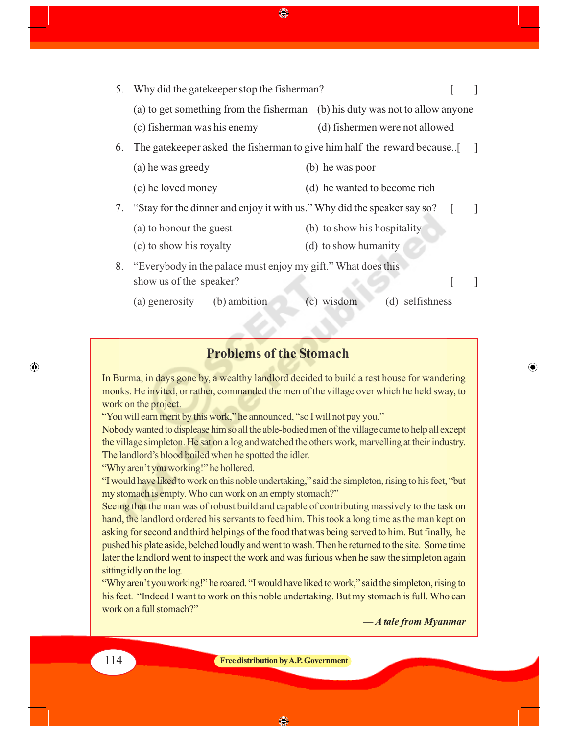◈

|    | 5. Why did the gate keeper stop the fisherman?                               |                                |  |
|----|------------------------------------------------------------------------------|--------------------------------|--|
|    | (a) to get something from the fisherman (b) his duty was not to allow anyone |                                |  |
|    | (c) fisherman was his enemy                                                  | (d) fishermen were not allowed |  |
| 6. | The gatekeeper asked the fisherman to give him half the reward because       |                                |  |
|    | (a) he was greedy                                                            | (b) he was poor                |  |
|    | (c) he loved money                                                           | (d) he wanted to become rich   |  |
|    | 7. "Stay for the dinner and enjoy it with us." Why did the speaker say so?   |                                |  |
|    | (a) to honour the guest                                                      | (b) to show his hospitality    |  |
|    | (c) to show his royalty                                                      | (d) to show humanity           |  |
|    | 8. "Everybody in the palace must enjoy my gift." What does this              |                                |  |
|    | show us of the speaker?                                                      |                                |  |
|    | (b) ambition<br>(a) generosity                                               | (c) wisdom<br>(d) selfishness  |  |

## **Problems of the Stomach**

In Burma, in days gone by, a wealthy landlord decided to build a rest house for wandering monks. He invited, or rather, commanded the men of the village over which he held sway, to work on the project.

"You will earn merit by this work," he announced, "so I will not pay you."

Nobody wanted to displease him so all the able-bodied men of the village came to help all except the village simpleton. He sat on a log and watched the others work, marvelling at their industry. The landlord's blood boiled when he spotted the idler.

"Why aren't you working!" he hollered.

"I would have liked to work on this noble undertaking," said the simpleton, rising to his feet, "but my stomach is empty. Who can work on an empty stomach?"

Seeing that the man was of robust build and capable of contributing massively to the task on hand, the landlord ordered his servants to feed him. This took a long time as the man kept on asking for second and third helpings of the food that was being served to him. But finally, he pushed his plate aside, belched loudly and went to wash. Then he returned to the site. Some time later the landlord went to inspect the work and was furious when he saw the simpleton again sitting idly on the log.

"Why aren't you working!" he roared. "I would have liked to work," said the simpleton, rising to his feet. "Indeed I want to work on this noble undertaking. But my stomach is full. Who can work on a full stomach?"

*— A tale from Myanmar*

⊕

 $\bigoplus$ 

114 **Free distribution by A.P. Government**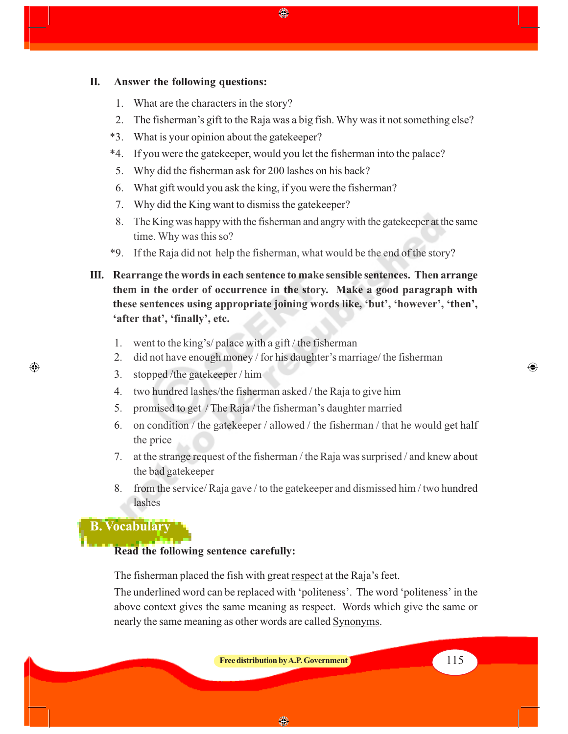#### **II. Answer the following questions:**

- 1. What are the characters in the story?
- 2. The fisherman's gift to the Raja was a big fish. Why was it not something else?

◈

- \*3. What is your opinion about the gatekeeper?
- \*4. If you were the gatekeeper, would you let the fisherman into the palace?
- 5. Why did the fisherman ask for 200 lashes on his back?
- 6. What gift would you ask the king, if you were the fisherman?
- 7. Why did the King want to dismiss the gatekeeper?
- 8. The King was happy with the fisherman and angry with the gatekeeper at the same time. Why was this so?
- \*9. If the Raja did not help the fisherman, what would be the end of the story?
- **III. Rearrange the words in each sentence to make sensible sentences. Then arrange them in the order of occurrence in the story. Make a good paragraph with these sentences using appropriate joining words like, 'but', 'however', 'then', 'after that', 'finally', etc.**
	- 1. went to the king's/ palace with a gift / the fisherman
	- 2. did not have enough money / for his daughter's marriage/ the fisherman
	- 3. stopped /the gatekeeper / him
	- 4. two hundred lashes/the fisherman asked / the Raja to give him
	- 5. promised to get / The Raja / the fisherman's daughter married
	- 6. on condition / the gatekeeper / allowed / the fisherman / that he would get half the price
	- 7. at the strange request of the fisherman / the Raja was surprised / and knew about the bad gatekeeper
	- 8. from the service/ Raja gave / to the gatekeeper and dismissed him / two hundred lashes

### **B. Vocabulary**

 $\bigoplus$ 

#### **Read the following sentence carefully:**

The fisherman placed the fish with great respect at the Raja's feet.

The underlined word can be replaced with 'politeness'. The word 'politeness' in the above context gives the same meaning as respect.Words which give the same or nearly the same meaning as other words are called Synonyms.

**Free distribution by A.P. Government** 115

◈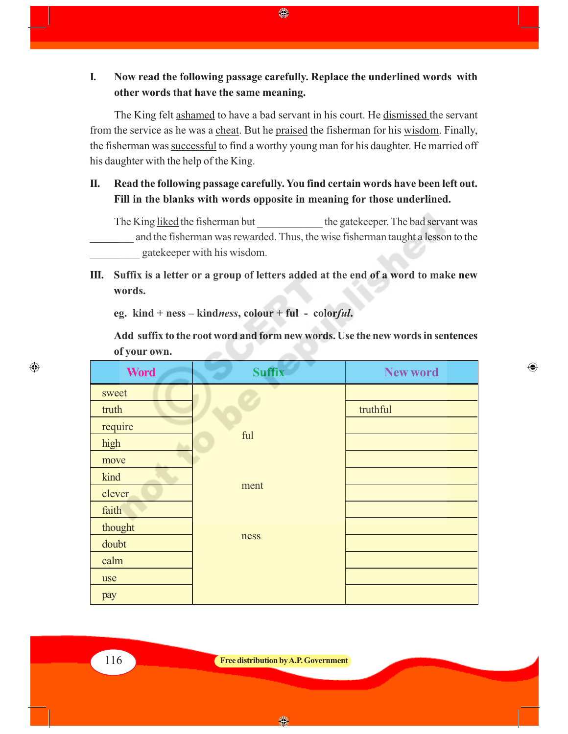**I. Now read the following passage carefully. Replace the underlined words with other words that have the same meaning.**

The King felt ashamed to have a bad servant in his court. He dismissed the servant from the service as he was a cheat. But he praised the fisherman for his wisdom. Finally, the fisherman was successful to find a worthy young man for his daughter. He married off his daughter with the help of the King.

**II. Read the following passage carefully. You find certain words have been left out. Fill in the blanks with words opposite in meaning for those underlined.**

The King liked the fisherman but the gatekeeper. The bad servant was and the fisherman was rewarded. Thus, the wise fisherman taught a lesson to the \_\_\_\_\_\_\_\_\_ gatekeeper with his wisdom.

**III. Suffix is a letter or a group of letters added at the end of a word to make new words.**

**eg. kind + ness – kind***ness***, colour + ful - color***ful***.**

**Add suffix to the root word and form new words. Use the new words in sentences of your own.**

 $\bigoplus$ 

| <b>Word</b> | <b>Suffix</b> | <b>New word</b> |
|-------------|---------------|-----------------|
| sweet       |               |                 |
| truth       |               | truthful        |
| require     |               |                 |
| high        | ful           |                 |
| move        |               |                 |
| kind        |               |                 |
| clever      | ment          |                 |
| faith       |               |                 |
| thought     |               |                 |
| doubt       | ness          |                 |
| calm        |               |                 |
| use         |               |                 |
| pay         |               |                 |

 $\bigoplus$ 

◈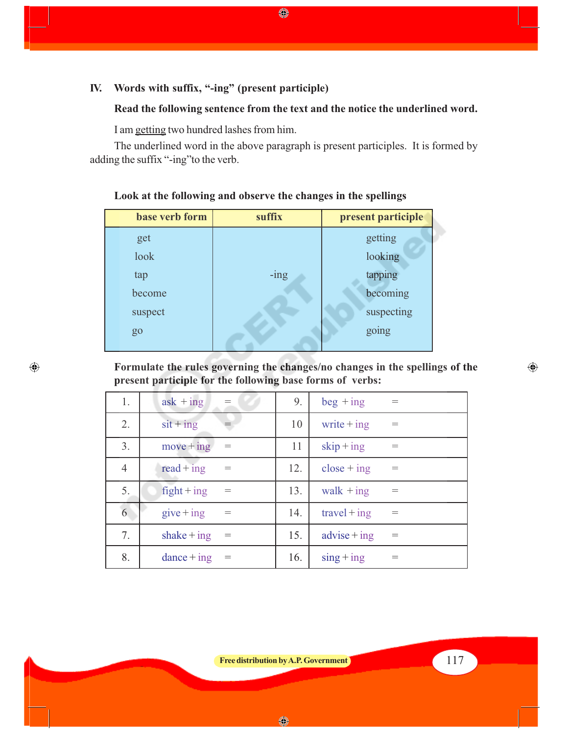## **IV. Words with suffix, "-ing" (present participle)**

## **Read the following sentence from the text and the notice the underlined word.**

I am getting two hundred lashes from him.

 $\bigoplus$ 

The underlined word in the above paragraph is present participles. It is formed by adding the suffix "-ing"to the verb.

♦

| base verb form | suffix  | present participle |
|----------------|---------|--------------------|
| get            |         | getting            |
| look           |         | looking            |
| tap            | $-$ ing | tapping            |
| become         |         | becoming           |
| suspect        |         | suspecting         |
| go             |         | going              |
|                |         |                    |

**Look at the following and observe the changes in the spellings**

**Formulate the rules governing the changes/no changes in the spellings of the present participle for the following base forms of verbs:**

| 1.             | $ask + ing$                 | $=$ | 9.  | $beg + ing$       | $=$ |
|----------------|-----------------------------|-----|-----|-------------------|-----|
| 2.             | $s$ it + ing                |     | 10  | write $+$ ing     | $=$ |
| 3.             | $move + ing$                |     | 11  | $skip + ing$      |     |
| $\overline{4}$ | $read + ing$                | $=$ | 12. | $close + ing$     | $=$ |
| 5.             | $\text{right} + \text{ing}$ | $=$ | 13. | walk $+$ ing      | $=$ |
| 6              | $give$ + ing                |     | 14. | $travel + ing$    |     |
| 7.             | shake $+$ ing               |     | 15. | $advise + ing$    |     |
| 8.             | $dance + ing$               |     | 16. | $\sin g + \sin g$ | $=$ |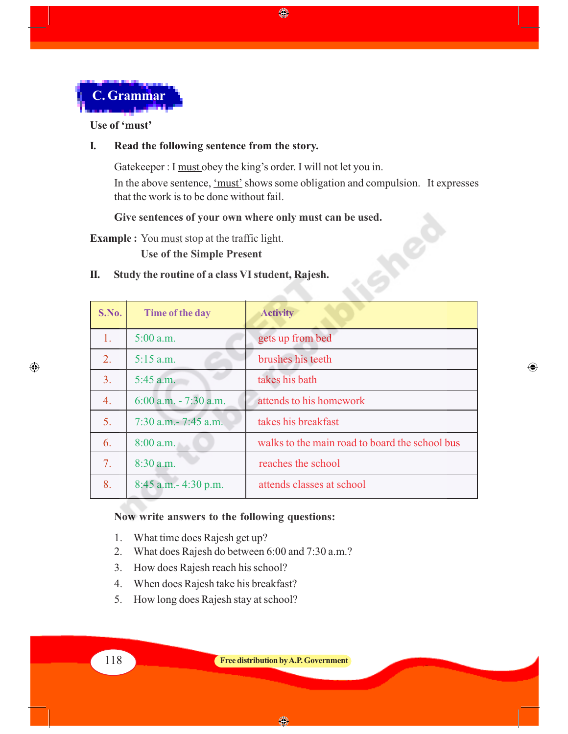

#### **Use of 'must'**

 $\bigoplus$ 

#### **I. Read the following sentence from the story.**

Gatekeeper : I must obey the king's order. I will not let you in. In the above sentence, 'must' shows some obligation and compulsion. It expresses that the work is to be done without fail.

ino

 $\bigoplus$ 

♦

**Give sentences of your own where only must can be used.**

**Example :** You must stop at the traffic light.

**Use of the Simple Present**

#### **II. Study the routine of a class VI student, Rajesh.**

| S.No. | Time of the day          | <b>Activity</b>                                |
|-------|--------------------------|------------------------------------------------|
| 1.    | $5:00$ a.m.              | gets up from bed                               |
| 2.    | $5:15$ a.m.              | brushes his teeth                              |
| 3.    | $5:45$ a.m.              | takes his bath                                 |
| 4.    | $6:00$ a.m. $-7:30$ a.m. | attends to his homework                        |
| 5.    | $7:30$ a.m. $-7:45$ a.m. | takes his breakfast                            |
| 6.    | $8:00$ a.m.              | walks to the main road to board the school bus |
| 7.    | $8:30$ a.m.              | reaches the school                             |
| 8.    | $8:45$ a.m. $-4:30$ p.m. | attends classes at school                      |

#### **Now write answers to the following questions:**

- 1. What time does Rajesh get up?
- 2. What does Rajesh do between 6:00 and 7:30 a.m.?
- 3. How does Rajesh reach his school?
- 4. When does Rajesh take his breakfast?
- 5. How long does Rajesh stay at school?

◈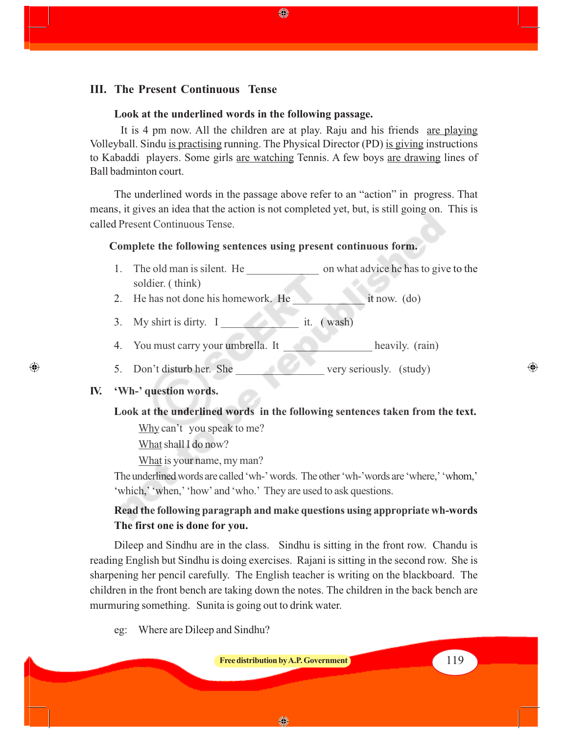#### **III. The Present Continuous Tense**

#### **Look at the underlined words in the following passage.**

It is 4 pm now. All the children are at play. Raju and his friends are playing Volleyball. Sindu is practising running. The Physical Director (PD) is giving instructions to Kabaddi players. Some girls are watching Tennis. A few boys are drawing lines of Ball badminton court.

◈

The underlined words in the passage above refer to an "action" in progress. That means, it gives an idea that the action is not completed yet, but, is still going on. This is called Present Continuous Tense.

#### **Complete the following sentences using present continuous form.**

- 1. The old man is silent. He \_\_\_\_\_\_\_\_\_\_\_\_\_ on what advice he has to give to the soldier. ( think)
- 2. He has not done his homework. He \_\_\_\_\_\_\_\_\_\_\_\_\_ it now. (do)
- 3. My shirt is dirty. I it. (wash)
- 4. You must carry your umbrella. It heavily. (rain)
- 5. Don't disturb her. She very seriously. (study)

#### **IV. 'Wh-' question words.**

⊕

#### **Look at the underlined words in the following sentences taken from the text.**

Why can't you speak to me?

What shall I do now?

What is your name, my man?

The underlined words are called 'wh-' words. The other 'wh-'words are 'where,' 'whom,' 'which,' 'when,' 'how' and 'who.' They are used to ask questions.

## **Read the following paragraph and make questions using appropriate wh-words The first one is done for you.**

Dileep and Sindhu are in the class. Sindhu is sitting in the front row. Chandu is reading English but Sindhu is doing exercises. Rajani is sitting in the second row. She is sharpening her pencil carefully. The English teacher is writing on the blackboard. The children in the front bench are taking down the notes. The children in the back bench are murmuring something. Sunita is going out to drink water.

eg: Where are Dileep and Sindhu?

**Free distribution by A.P. Government** 119

 $\bigcirc$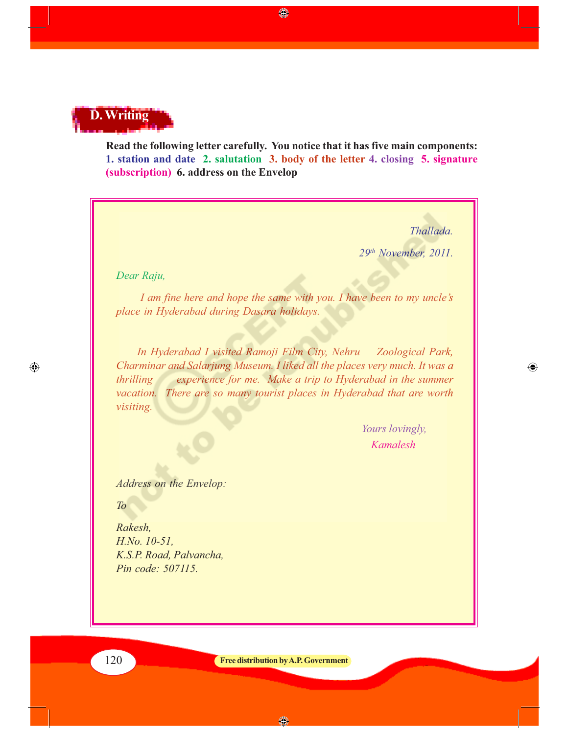# **D. Writing**

**Read the following letter carefully. You notice that it has five main components: 1. station and date 2. salutation 3. body of the letter 4. closing 5. signature (subscription) 6. address on the Envelop**

◈

*Thallada.*

◈

*29th November, 2011.*

*Dear Raju,*

*I am fine here and hope the same with you. I have been to my uncle's place in Hyderabad during Dasara holidays.*

 *In Hyderabad I visited Ramoji Film City, Nehru Zoological Park, Charminar and Salarjung Museum. I liked all the places very much. It was a thrilling experience for me. Make a trip to Hyderabad in the summer vacation. There are so many tourist places in Hyderabad that are worth visiting.*

> *Yours lovingly, Kamalesh*

*Address on the Envelop:*

*To*

 $\bigoplus$ 

*Rakesh, H.No. 10-51, K.S.P. Road, Palvancha, Pin code: 507115.*

120 **Free distribution by A.P. Government**

◈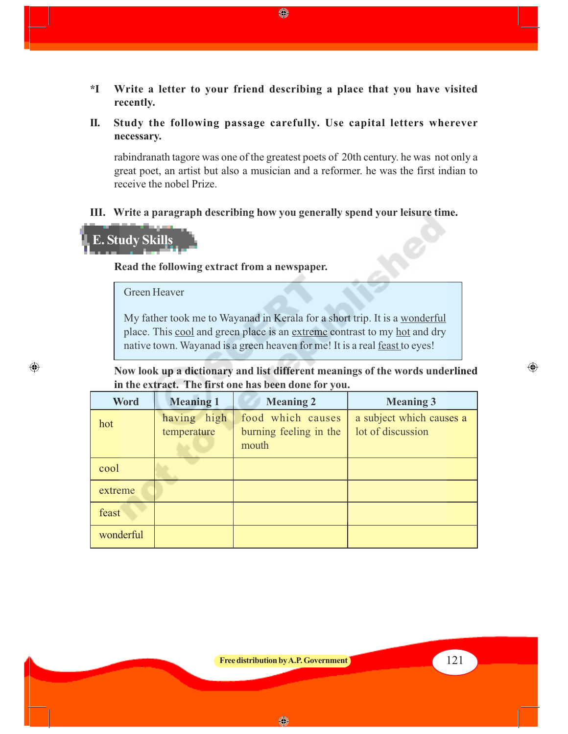- **\*I Write a letter to your friend describing a place that you have visited recently.**
- **II. Study the following passage carefully. Use capital letters wherever necessary.**

rabindranath tagore was one of the greatest poets of 20th century. he was not only a great poet, an artist but also a musician and a reformer. he was the first indian to receive the nobel Prize.

**III. Write a paragraph describing how you generally spend your leisure time.**

## **E. Study Skills**

⊕

**Read the following extract from a newspaper.**

#### Green Heaver

My father took me to Wayanad in Kerala for a short trip. It is a wonderful place. This cool and green place is an extreme contrast to my hot and dry native town. Wayanad is a green heaven for me! It is a real feast to eyes!

**Now look up a dictionary and list different meanings of the words underlined in the extract. The first one has been done for you.**

| <b>Word</b> | <b>Meaning 1</b>           | <b>Meaning 2</b>                                     | <b>Meaning 3</b>                              |
|-------------|----------------------------|------------------------------------------------------|-----------------------------------------------|
| hot         | having high<br>temperature | food which causes<br>burning feeling in the<br>mouth | a subject which causes a<br>lot of discussion |
| cool        |                            |                                                      |                                               |
| extreme     |                            |                                                      |                                               |
| feast       |                            |                                                      |                                               |
| wonderful   |                            |                                                      |                                               |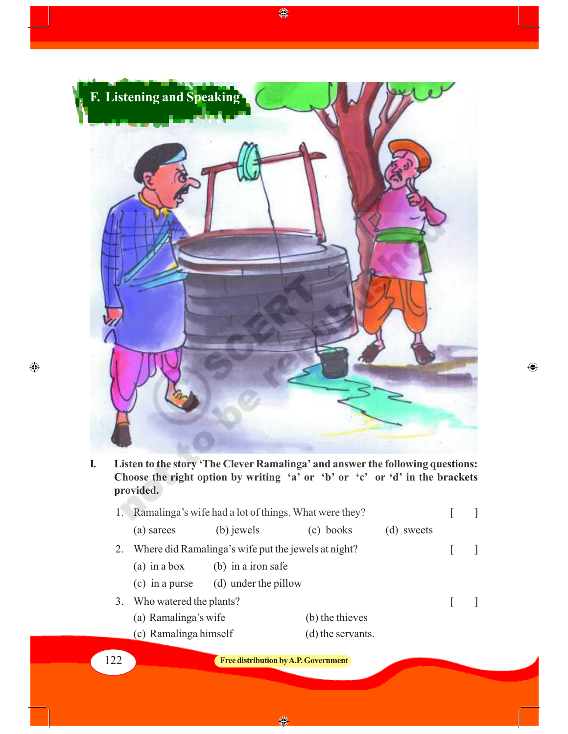

 $\bigcirc\hspace{-0.75mm}\bigcirc$ 

**I. Listen to the story 'The Clever Ramalinga' and answer the following questions: Choose the right option by writing 'a' or 'b' or 'c' or 'd' in the brackets provided.**

 $\bigoplus$ 

|     | Ramalinga's wife had a lot of things. What were they? |                                             |                   |            |  |
|-----|-------------------------------------------------------|---------------------------------------------|-------------------|------------|--|
|     | (a) sarees                                            | (b) jewels                                  | (c) books         | (d) sweets |  |
|     | Where did Ramalinga's wife put the jewels at night?   |                                             |                   |            |  |
|     | $(a)$ in a box                                        | (b) in a iron safe                          |                   |            |  |
|     | $(c)$ in a purse                                      | (d) under the pillow                        |                   |            |  |
|     | 3. Who watered the plants?                            |                                             |                   |            |  |
|     | (a) Ramalinga's wife                                  |                                             | (b) the thieves   |            |  |
|     | (c) Ramalinga himself                                 |                                             | (d) the servants. |            |  |
| 122 |                                                       | <b>Free distribution by A.P. Government</b> |                   |            |  |

 $\bigcirc$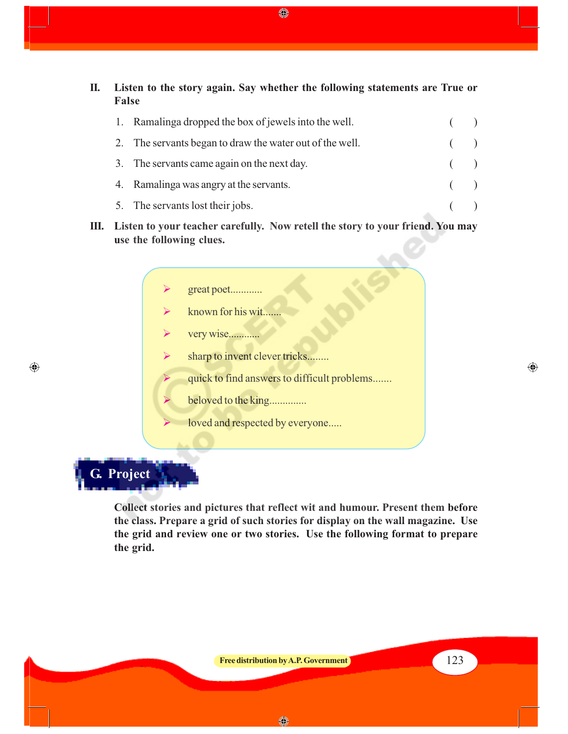**II. Listen to the story again. Say whether the following statements are True or False**

|  | 1. Ramalinga dropped the box of jewels into the well.    |       |  |
|--|----------------------------------------------------------|-------|--|
|  | 2. The servants began to draw the water out of the well. |       |  |
|  | 3. The servants came again on the next day.              | (     |  |
|  | 4. Ramalinga was angry at the servants.                  | $($ ) |  |
|  | 5. The servants lost their jobs.                         |       |  |

- **III. Listen to your teacher carefully. Now retell the story to your friend. You may use the following clues.**
	- great poet............
	- known for his wit.......
	- very wise............
	- $\triangleright$  sharp to invent clever tricks........
		- quick to find answers to difficult problems.......

⊕

- beloved to the king..............
	- loved and respected by everyone.....

**G. Project**

 $\bigoplus$ 

**Collect stories and pictures that reflect wit and humour. Present them before the class. Prepare a grid of such stories for display on the wall magazine. Use the grid and review one or two stories. Use the following format to prepare the grid.**

◈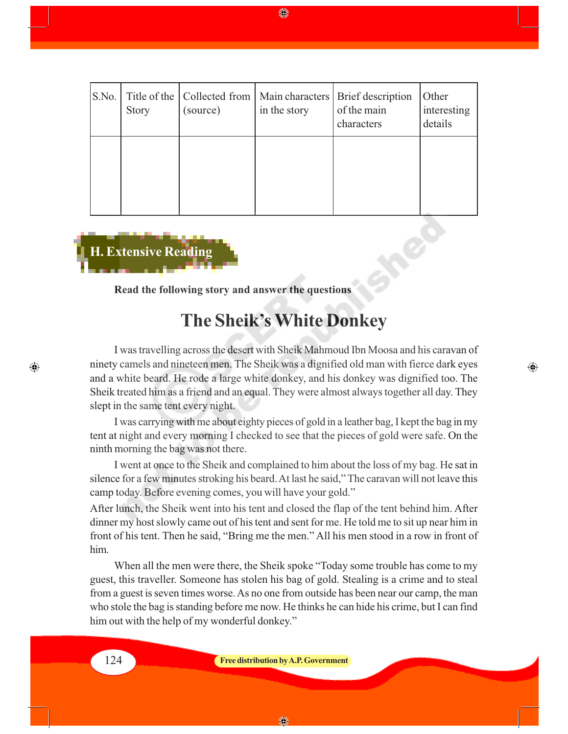| S.No. | <b>Story</b> | (source) | in the story | Title of the   Collected from   Main characters   Brief description<br>of the main<br>characters | Other<br>interesting<br>details |
|-------|--------------|----------|--------------|--------------------------------------------------------------------------------------------------|---------------------------------|
|       |              |          |              |                                                                                                  |                                 |

◈



**Read the following story and answer the questions**

## **The Sheik's White Donkey**

I was travelling across the desert with Sheik Mahmoud Ibn Moosa and his caravan of ninety camels and nineteen men. The Sheik was a dignified old man with fierce dark eyes and a white beard. He rode a large white donkey, and his donkey was dignified too. The Sheik treated him as a friend and an equal. They were almost always together all day. They slept in the same tent every night.

◈

I was carrying with me about eighty pieces of gold in a leather bag, I kept the bag in my tent at night and every morning I checked to see that the pieces of gold were safe. On the ninth morning the bag was not there.

I went at once to the Sheik and complained to him about the loss of my bag. He sat in silence for a few minutes stroking his beard. At last he said," The caravan will not leave this camp today. Before evening comes, you will have your gold."

After lunch, the Sheik went into his tent and closed the flap of the tent behind him. After dinner my host slowly came out of his tent and sent for me. He told me to sit up near him in front of his tent. Then he said, "Bring me the men." All his men stood in a row in front of him.

When all the men were there, the Sheik spoke "Today some trouble has come to my guest, this traveller. Someone has stolen his bag of gold. Stealing is a crime and to steal from a guest is seven times worse. As no one from outside has been near our camp, the man who stole the bag is standing before me now. He thinks he can hide his crime, but I can find him out with the help of my wonderful donkey."

◈

 $\bigcirc$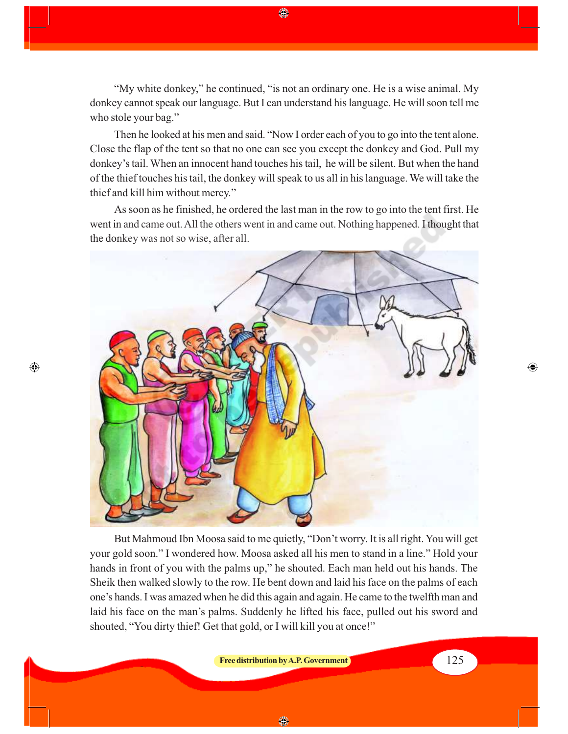"My white donkey," he continued, "is not an ordinary one. He is a wise animal. My donkey cannot speak our language. But I can understand his language. He will soon tell me who stole your bag."

◈

Then he looked at his men and said. "Now I order each of you to go into the tent alone. Close the flap of the tent so that no one can see you except the donkey and God. Pull my donkey's tail. When an innocent hand touches his tail, he will be silent. But when the hand of the thief touches his tail, the donkey will speak to us all in his language. We will take the thief and kill him without mercy."

As soon as he finished, he ordered the last man in the row to go into the tent first. He went in and came out. All the others went in and came out. Nothing happened. I thought that the donkey was not so wise, after all.



 $\bigcirc$ 

But Mahmoud Ibn Moosa said to me quietly, "Don't worry. It is all right. You will get your gold soon." I wondered how. Moosa asked all his men to stand in a line." Hold your hands in front of you with the palms up," he shouted. Each man held out his hands. The Sheik then walked slowly to the row. He bent down and laid his face on the palms of each one's hands. I was amazed when he did this again and again. He came to the twelfth man and laid his face on the man's palms. Suddenly he lifted his face, pulled out his sword and shouted, "You dirty thief! Get that gold, or I will kill you at once!"

**Free distribution by A.P. Government** 125

⊕

◈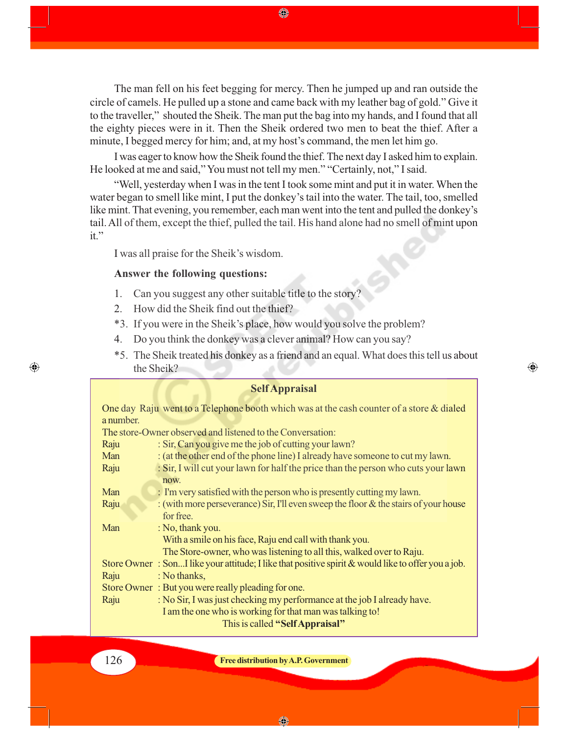The man fell on his feet begging for mercy. Then he jumped up and ran outside the circle of camels. He pulled up a stone and came back with my leather bag of gold." Give it to the traveller," shouted the Sheik. The man put the bag into my hands, and I found that all the eighty pieces were in it. Then the Sheik ordered two men to beat the thief. After a minute, I begged mercy for him; and, at my host's command, the men let him go.

I was eager to know how the Sheik found the thief. The next day I asked him to explain. He looked at me and said," You must not tell my men." "Certainly, not," I said.

"Well, yesterday when I was in the tent I took some mint and put it in water. When the water began to smell like mint, I put the donkey's tail into the water. The tail, too, smelled like mint. That evening, you remember, each man went into the tent and pulled the donkey's tail. All of them, except the thief, pulled the tail. His hand alone had no smell of mint upon it."

I was all praise for the Sheik's wisdom.

#### **Answer the following questions:**

- 1. Can you suggest any other suitable title to the story?
- 2. How did the Sheik find out the thief?
- \*3. If you were in the Sheik's place, how would you solve the problem?
- 4. Do you think the donkey was a clever animal? How can you say?
- \*5. The Sheik treated his donkey as a friend and an equal. What does this tell us about the Sheik?

⊕

#### **Self Appraisal**

One day Raju went to a Telephone booth which was at the cash counter of a store & dialed a number.

The store-Owner observed and listened to the Conversation:

| Raju | : Sir, Can you give me the job of cutting your lawn?                                                  |  |  |
|------|-------------------------------------------------------------------------------------------------------|--|--|
| Man  | : (at the other end of the phone line) I already have someone to cut my lawn.                         |  |  |
| Raju | : Sir, I will cut your lawn for half the price than the person who cuts your lawn                     |  |  |
|      | now.                                                                                                  |  |  |
| Man  | : I'm very satisfied with the person who is presently cutting my lawn.                                |  |  |
| Raju | : (with more perseverance) Sir, I'll even sweep the floor & the stairs of your house                  |  |  |
|      | for free.                                                                                             |  |  |
| Man  | : No, thank you.                                                                                      |  |  |
|      | With a smile on his face, Raju end call with thank you.                                               |  |  |
|      | The Store-owner, who was listening to all this, walked over to Raju.                                  |  |  |
|      | Store Owner: SonI like your attitude; I like that positive spirit $\&$ would like to offer you a job. |  |  |
| Raju | : No thanks,                                                                                          |  |  |
|      | Store Owner: But you were really pleading for one.                                                    |  |  |
| Raju | : No Sir, I was just checking my performance at the job I already have.                               |  |  |
|      | I am the one who is working for that man was talking to!                                              |  |  |
|      | This is called "Self Appraisal"                                                                       |  |  |

 $\bigcirc$ 

126 **Free distribution by A.P. Government**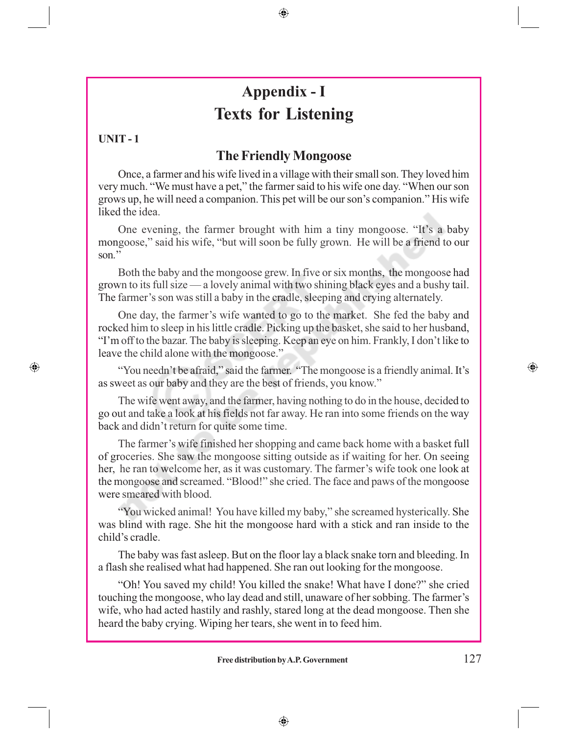## **Appendix - I Texts for Listening**

⊕

## **UNIT - 1**

 $\bigoplus$ 

## **The Friendly Mongoose**

Once, a farmer and his wife lived in a village with their small son. They loved him very much. "We must have a pet," the farmer said to his wife one day. "When our son grows up, he will need a companion. This pet will be our son's companion." His wife liked the idea.

One evening, the farmer brought with him a tiny mongoose. "It's a baby mongoose," said his wife, "but will soon be fully grown. He will be a friend to our son.''

Both the baby and the mongoose grew. In five or six months, the mongoose had grown to its full size — a lovely animal with two shining black eyes and a bushy tail. The farmer's son was still a baby in the cradle, sleeping and crying alternately.

One day, the farmer's wife wanted to go to the market. She fed the baby and rocked him to sleep in his little cradle. Picking up the basket, she said to her husband, "I'm off to the bazar. The baby is sleeping. Keep an eye on him. Frankly, I don't like to leave the child alone with the mongoose."

"You needn't be afraid," said the farmer. "The mongoose is a friendly animal. It's as sweet as our baby and they are the best of friends, you know."

The wife went away, and the farmer, having nothing to do in the house, decided to go out and take a look at his fields not far away. He ran into some friends on the way back and didn't return for quite some time.

The farmer's wife finished her shopping and came back home with a basket full of groceries. She saw the mongoose sitting outside as if waiting for her. On seeing her, he ran to welcome her, as it was customary. The farmer's wife took one look at the mongoose and screamed. "Blood!" she cried. The face and paws of the mongoose were smeared with blood.

"You wicked animal! You have killed my baby," she screamed hysterically. She was blind with rage. She hit the mongoose hard with a stick and ran inside to the child's cradle.

The baby was fast asleep. But on the floor lay a black snake torn and bleeding. In a flash she realised what had happened. She ran out looking for the mongoose.

"Oh! You saved my child! You killed the snake! What have I done?" she cried touching the mongoose, who lay dead and still, unaware of her sobbing. The farmer's wife, who had acted hastily and rashly, stared long at the dead mongoose. Then she heard the baby crying. Wiping her tears, she went in to feed him.

 $\bigoplus$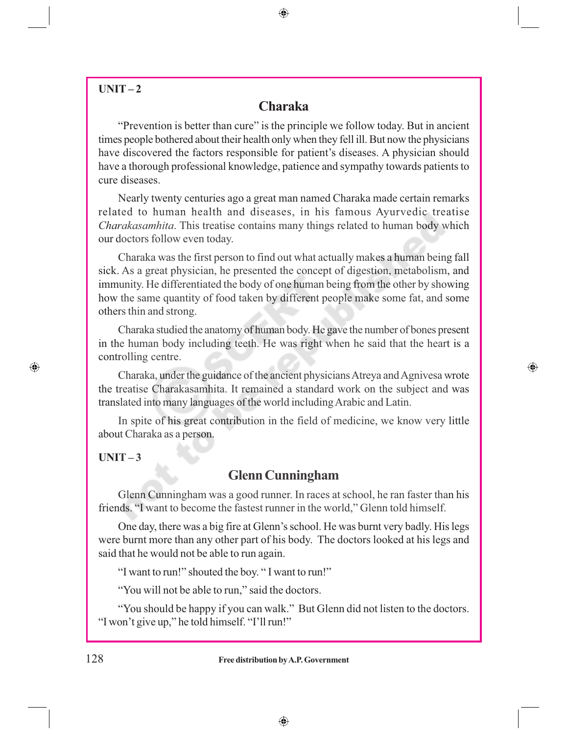## $UNIT-2$

## **Charaka**

 $\bigoplus$ 

"Prevention is better than cure" is the principle we follow today. But in ancient times people bothered about their health only when they fell ill. But now the physicians have discovered the factors responsible for patient's diseases. A physician should have a thorough professional knowledge, patience and sympathy towards patients to cure diseases.

Nearly twenty centuries ago a great man named Charaka made certain remarks related to human health and diseases, in his famous Ayurvedic treatise *Charakasamhita*. This treatise contains many things related to human body which our doctors follow even today.

Charaka was the first person to find out what actually makes a human being fall sick. As a great physician, he presented the concept of digestion, metabolism, and immunity. He differentiated the body of one human being from the other by showing how the same quantity of food taken by different people make some fat, and some others thin and strong.

Charaka studied the anatomy of human body. He gave the number of bones present in the human body including teeth. He was right when he said that the heart is a controlling centre.

Charaka, under the guidance of the ancient physicians Atreya and Agnivesa wrote the treatise Charakasamhita. It remained a standard work on the subject and was translated into many languages of the world including Arabic and Latin.

 $\bigoplus$ 

In spite of his great contribution in the field of medicine, we know very little about Charaka as a person.

#### $UNIT-3$

 $\bigcirc$ 

## **Glenn Cunningham**

Glenn Cunningham was a good runner. In races at school, he ran faster than his friends. "I want to become the fastest runner in the world," Glenn told himself.

One day, there was a big fire at Glenn's school. He was burnt very badly. His legs were burnt more than any other part of his body. The doctors looked at his legs and said that he would not be able to run again.

"I want to run!" shouted the boy. " I want to run!"

"You will not be able to run," said the doctors.

"You should be happy if you can walk." But Glenn did not listen to the doctors. "I won't give up," he told himself. "I'll run!"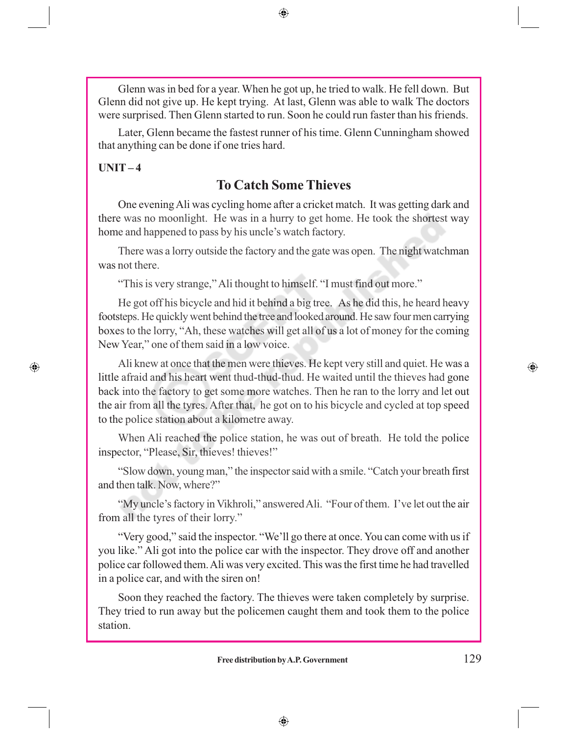Glenn was in bed for a year. When he got up, he tried to walk. He fell down. But Glenn did not give up. He kept trying. At last, Glenn was able to walk The doctors were surprised. Then Glenn started to run. Soon he could run faster than his friends.

⊕

Later, Glenn became the fastest runner of his time. Glenn Cunningham showed that anything can be done if one tries hard.

### **UNIT – 4**

 $\bigcirc$ 

## **To Catch Some Thieves**

One evening Ali was cycling home after a cricket match. It was getting dark and there was no moonlight. He was in a hurry to get home. He took the shortest way home and happened to pass by his uncle's watch factory.

There was a lorry outside the factory and the gate was open. The night watchman was not there.

"This is very strange," Ali thought to himself. "I must find out more."

He got off his bicycle and hid it behind a big tree. As he did this, he heard heavy footsteps. He quickly went behind the tree and looked around. He saw four men carrying boxes to the lorry, "Ah, these watches will get all of us a lot of money for the coming New Year," one of them said in a low voice.

Ali knew at once that the men were thieves. He kept very still and quiet. He was a little afraid and his heart went thud-thud-thud. He waited until the thieves had gone back into the factory to get some more watches. Then he ran to the lorry and let out the air from all the tyres. After that, he got on to his bicycle and cycled at top speed to the police station about a kilometre away.

When Ali reached the police station, he was out of breath. He told the police inspector, "Please, Sir, thieves! thieves!"

"Slow down, young man," the inspector said with a smile. "Catch your breath first and then talk. Now, where?"

"My uncle's factory in Vikhroli," answered Ali. "Four of them. I've let out the air from all the tyres of their lorry."

"Very good," said the inspector. "We'll go there at once. You can come with us if you like." Ali got into the police car with the inspector. They drove off and another police car followed them. Ali was very excited. This was the first time he had travelled in a police car, and with the siren on!

Soon they reached the factory. The thieves were taken completely by surprise. They tried to run away but the policemen caught them and took them to the police station.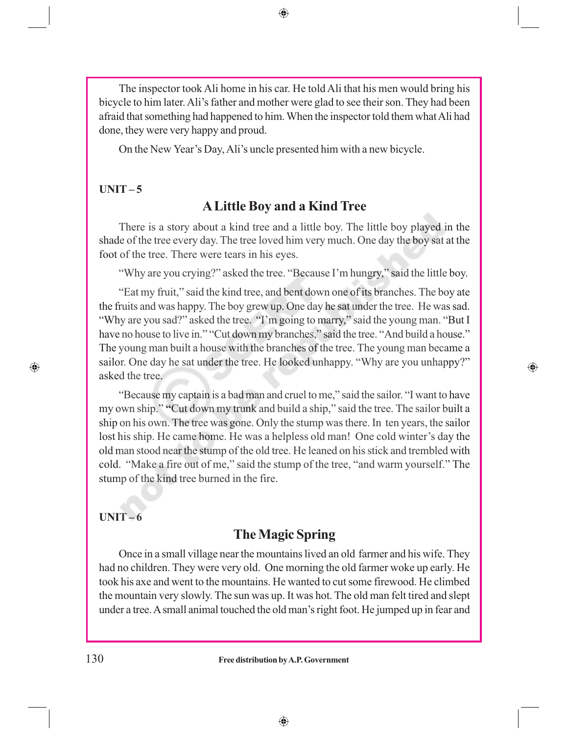The inspector took Ali home in his car. He told Ali that his men would bring his bicycle to him later. Ali's father and mother were glad to see their son. They had been afraid that something had happened to him. When the inspector told them what Ali had done, they were very happy and proud.

On the New Year's Day, Ali's uncle presented him with a new bicycle.

## **UNIT – 5**

## **A Little Boy and a Kind Tree**

There is a story about a kind tree and a little boy. The little boy played in the shade of the tree every day. The tree loved him very much. One day the boy sat at the foot of the tree. There were tears in his eyes.

"Why are you crying?" asked the tree. "Because I'm hungry," said the little boy.

"Eat my fruit," said the kind tree, and bent down one of its branches. The boy ate the fruits and was happy. The boy grew up. One day he sat under the tree. He was sad. "Why are you sad?" asked the tree. "I'm going to marry," said the young man. "But I have no house to live in." "Cut down my branches," said the tree. "And build a house." The young man built a house with the branches of the tree. The young man became a sailor. One day he sat under the tree. He looked unhappy. "Why are you unhappy?" asked the tree.

 $\bigoplus$ 

"Because my captain is a bad man and cruel to me," said the sailor. "I want to have my own ship." **"**Cut down my trunk and build a ship," said the tree. The sailor built a ship on his own. The tree was gone. Only the stump was there. In ten years, the sailor lost his ship. He came home. He was a helpless old man! One cold winter's day the old man stood near the stump of the old tree. He leaned on his stick and trembled with cold. "Make a fire out of me," said the stump of the tree, "and warm yourself." The stump of the kind tree burned in the fire.

#### **UNIT – 6**

 $\bigoplus$ 

## **The Magic Spring**

Once in a small village near the mountains lived an old farmer and his wife. They had no children. They were very old. One morning the old farmer woke up early. He took his axe and went to the mountains. He wanted to cut some firewood. He climbed the mountain very slowly. The sun was up. It was hot. The old man felt tired and slept under a tree. A small animal touched the old man's right foot. He jumped up in fear and

 $\bigoplus$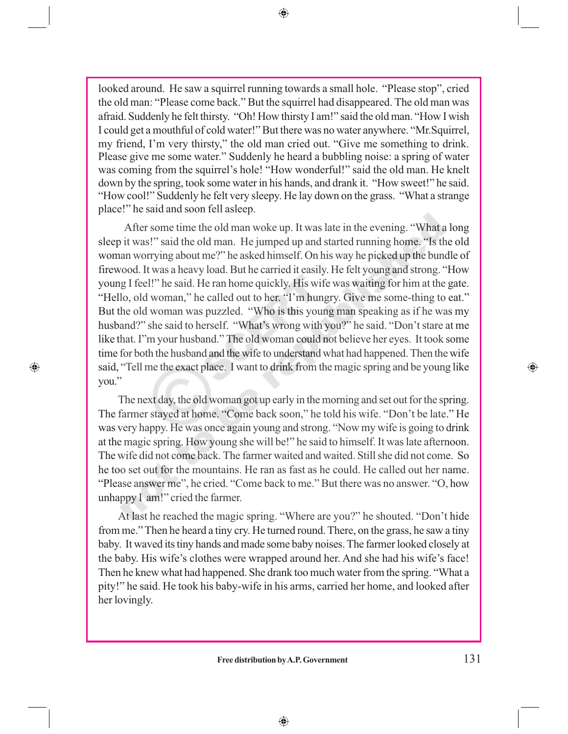$\bigoplus$ 

looked around. He saw a squirrel running towards a small hole. "Please stop", cried the old man: "Please come back." But the squirrel had disappeared. The old man was afraid. Suddenly he felt thirsty. "Oh! How thirsty I am!" said the old man. "How I wish I could get a mouthful of cold water!" But there was no water anywhere. "Mr.Squirrel, my friend, I'm very thirsty," the old man cried out. "Give me something to drink. Please give me some water." Suddenly he heard a bubbling noise: a spring of water was coming from the squirrel's hole! "How wonderful!" said the old man. He knelt down by the spring, took some water in his hands, and drank it. "How sweet!" he said. "How cool!" Suddenly he felt very sleepy. He lay down on the grass. "What a strange place!" he said and soon fell asleep.

 After some time the old man woke up. It was late in the evening. "What a long sleep it was!" said the old man. He jumped up and started running home. "Is the old woman worrying about me?" he asked himself. On his way he picked up the bundle of firewood. It was a heavy load. But he carried it easily. He felt young and strong. "How young I feel!" he said. He ran home quickly. His wife was waiting for him at the gate. "Hello, old woman," he called out to her. "I'm hungry. Give me some-thing to eat." But the old woman was puzzled. "Who is this young man speaking as if he was my husband?" she said to herself. "What's wrong with you?" he said. "Don't stare at me like that. I"m your husband." The old woman could not believe her eyes. It took some time for both the husband and the wife to understand what had happened. Then the wife said, "Tell me the exact place. I want to drink from the magic spring and be young like you."

 $\bigoplus$ 

The next day, the old woman got up early in the morning and set out for the spring. The farmer stayed at home. "Come back soon," he told his wife. "Don't be late." He was very happy. He was once again young and strong. "Now my wife is going to drink at the magic spring. How young she will be!" he said to himself. It was late afternoon. The wife did not come back. The farmer waited and waited. Still she did not come. So he too set out for the mountains. He ran as fast as he could. He called out her name. "Please answer me", he cried. "Come back to me." But there was no answer. "O, how unhappy I am!" cried the farmer.

At last he reached the magic spring. "Where are you?" he shouted. "Don't hide from me." Then he heard a tiny cry. He turned round. There, on the grass, he saw a tiny baby. It waved its tiny hands and made some baby noises. The farmer looked closely at the baby. His wife's clothes were wrapped around her. And she had his wife's face! Then he knew what had happened. She drank too much water from the spring. "What a pity!" he said. He took his baby-wife in his arms, carried her home, and looked after her lovingly.

 $\bigoplus$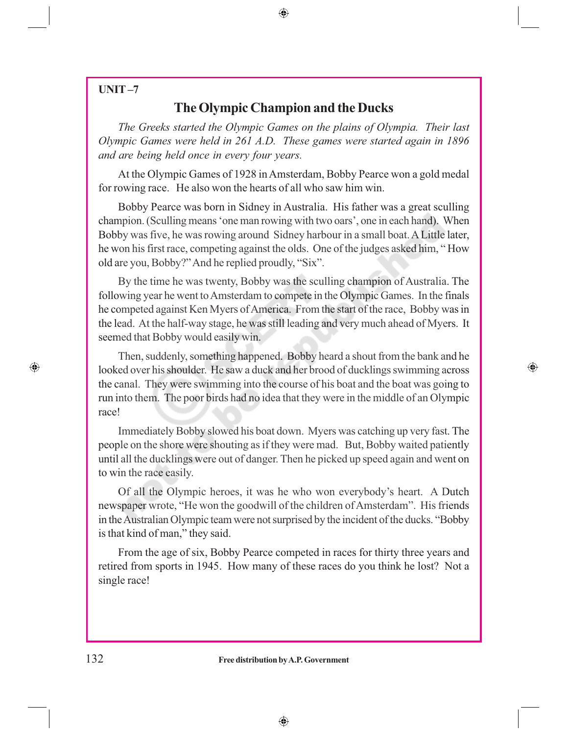## **UNIT –7**

## **The Olympic Champion and the Ducks**

*The Greeks started the Olympic Games on the plains of Olympia. Their last Olympic Games were held in 261 A.D. These games were started again in 1896 and are being held once in every four years.*

At the Olympic Games of 1928 in Amsterdam, Bobby Pearce won a gold medal for rowing race. He also won the hearts of all who saw him win.

Bobby Pearce was born in Sidney in Australia. His father was a great sculling champion. (Sculling means 'one man rowing with two oars', one in each hand). When Bobby was five, he was rowing around Sidney harbour in a small boat. A Little later, he won his first race, competing against the olds. One of the judges asked him, " How old are you, Bobby?" And he replied proudly, "Six".

By the time he was twenty, Bobby was the sculling champion of Australia. The following year he went to Amsterdam to compete in the Olympic Games. In the finals he competed against Ken Myers of America. From the start of the race, Bobby was in the lead. At the half-way stage, he was still leading and very much ahead of Myers. It seemed that Bobby would easily win.

Then, suddenly, something happened. Bobby heard a shout from the bank and he looked over his shoulder. He saw a duck and her brood of ducklings swimming across the canal. They were swimming into the course of his boat and the boat was going to run into them. The poor birds had no idea that they were in the middle of an Olympic race!

⊕

Immediately Bobby slowed his boat down. Myers was catching up very fast. The people on the shore were shouting as if they were mad. But, Bobby waited patiently until all the ducklings were out of danger. Then he picked up speed again and went on to win the race easily.

Of all the Olympic heroes, it was he who won everybody's heart. A Dutch newspaper wrote, "He won the goodwill of the children of Amsterdam". His friends in the Australian Olympic team were not surprised by the incident of the ducks. "Bobby is that kind of man," they said.

From the age of six, Bobby Pearce competed in races for thirty three years and retired from sports in 1945. How many of these races do you think he lost? Not a single race!

#### 132 **Free distribution by A.P. Government**

 $\bigoplus$ 

 $\bigoplus$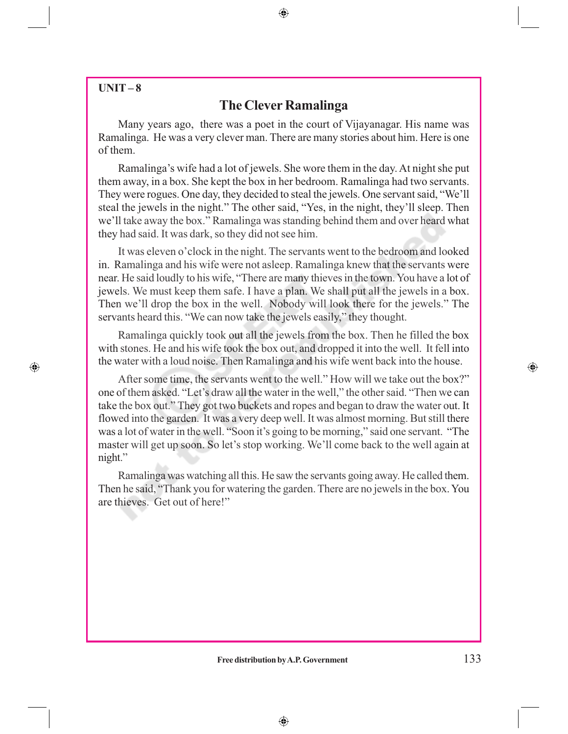## **UNIT – 8**

 $\bigoplus$ 

## **The Clever Ramalinga**

⊕

Many years ago, there was a poet in the court of Vijayanagar. His name was Ramalinga. He was a very clever man. There are many stories about him. Here is one of them.

Ramalinga's wife had a lot of jewels. She wore them in the day. At night she put them away, in a box. She kept the box in her bedroom. Ramalinga had two servants. They were rogues. One day, they decided to steal the jewels. One servant said, "We'll steal the jewels in the night." The other said, "Yes, in the night, they'll sleep. Then we'll take away the box." Ramalinga was standing behind them and over heard what they had said. It was dark, so they did not see him.

It was eleven o'clock in the night. The servants went to the bedroom and looked in. Ramalinga and his wife were not asleep. Ramalinga knew that the servants were near. He said loudly to his wife, "There are many thieves in the town. You have a lot of jewels. We must keep them safe. I have a plan. We shall put all the jewels in a box. Then we'll drop the box in the well. Nobody will look there for the jewels." The servants heard this. "We can now take the jewels easily," they thought.

Ramalinga quickly took out all the jewels from the box. Then he filled the box with stones. He and his wife took the box out, and dropped it into the well. It fell into the water with a loud noise. Then Ramalinga and his wife went back into the house.

After some time, the servants went to the well." How will we take out the box?" one of them asked. "Let's draw all the water in the well," the other said. "Then we can take the box out." They got two buckets and ropes and began to draw the water out. It flowed into the garden. It was a very deep well. It was almost morning. But still there was a lot of water in the well. "Soon it's going to be morning," said one servant. "The master will get up soon. So let's stop working. We'll come back to the well again at night."

Ramalinga was watching all this. He saw the servants going away. He called them. Then he said, "Thank you for watering the garden. There are no jewels in the box. You are thieves. Get out of here!"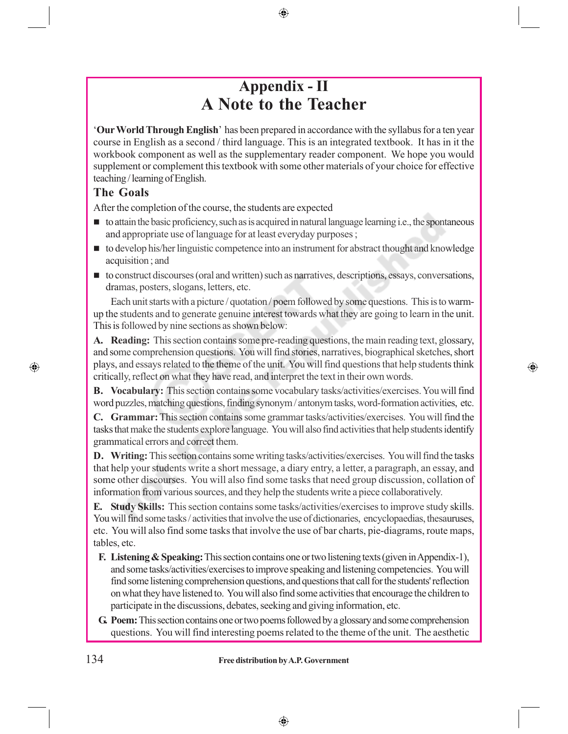## **Appendix - II A Note to the Teacher**

'**Our World Through English**' has been prepared in accordance with the syllabus for a ten year course in English as a second / third language. This is an integrated textbook. It has in it the workbook component as well as the supplementary reader component. We hope you would supplement or complement this textbook with some other materials of your choice for effective teaching / learning of English.

### **The Goals**

After the completion of the course, the students are expected

- $\blacksquare$  to attain the basic proficiency, such as is acquired in natural language learning i.e., the spontaneous and appropriate use of language for at least everyday purposes ;
- to develop his/her linguistic competence into an instrument for abstract thought and knowledge acquisition ; and
- to construct discourses (oral and written) such as narratives, descriptions, essays, conversations, dramas, posters, slogans, letters, etc.

Each unit starts with a picture / quotation / poem followed by some questions. This is to warmup the students and to generate genuine interest towards what they are going to learn in the unit. This is followed by nine sections as shown below:

**A. Reading:** This section contains some pre-reading questions, the main reading text, glossary, and some comprehension questions. You will find stories, narratives, biographical sketches, short plays, and essays related to the theme of the unit. You will find questions that help students think critically, reflect on what they have read, and interpret the text in their own words.

⊕

**B. Vocabulary:** This section contains some vocabulary tasks/activities/exercises. You will find word puzzles, matching questions, finding synonym / antonym tasks, word-formation activities, etc.

**C. Grammar:** This section contains some grammar tasks/activities/exercises. You will find the tasks that make the students explore language. You will also find activities that help students identify grammatical errors and correct them.

**D.** Writing: This section contains some writing tasks/activities/exercises. You will find the tasks that help your students write a short message, a diary entry, a letter, a paragraph, an essay, and some other discourses. You will also find some tasks that need group discussion, collation of information from various sources, and they help the students write a piece collaboratively.

**E. Study Skills:** This section contains some tasks/activities/exercises to improve study skills. You will find some tasks / activities that involve the use of dictionaries, encyclopaedias, thesauruses, etc. You will also find some tasks that involve the use of bar charts, pie-diagrams, route maps, tables, etc.

- **F. Listening & Speaking:** This section contains one or two listening texts (given in Appendix-1), and some tasks/activities/exercises to improve speaking and listening competencies. You will find some listening comprehension questions, and questions that call for the students' reflection on what they have listened to. You will also find some activities that encourage the children to participate in the discussions, debates, seeking and giving information, etc.
- **G. Poem:** This section contains one or two poems followed by a glossary and some comprehension questions. You will find interesting poems related to the theme of the unit. The aesthetic

 $\bigoplus$ 

⊕

 $\bigcirc$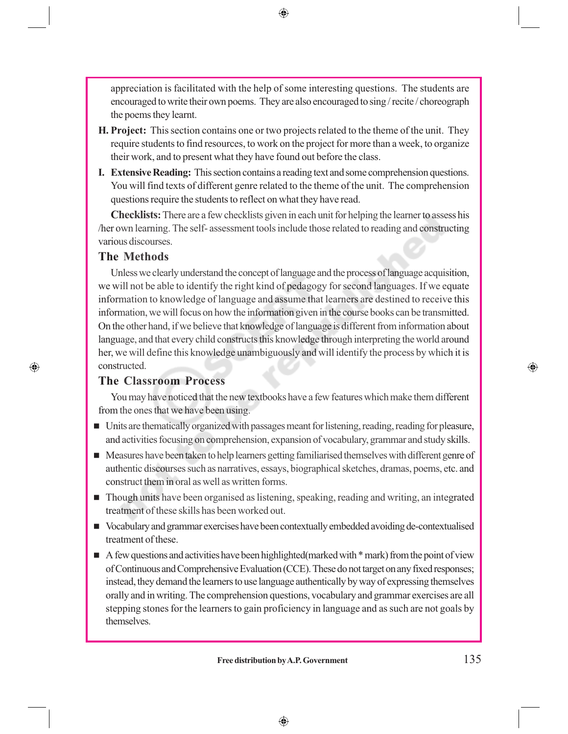appreciation is facilitated with the help of some interesting questions. The students are encouraged to write their own poems. They are also encouraged to sing / recite / choreograph the poems they learnt.

⊕

- **H. Project:** This section contains one or two projects related to the theme of the unit. They require students to find resources, to work on the project for more than a week, to organize their work, and to present what they have found out before the class.
- **I. Extensive Reading:** This section contains a reading text and some comprehension questions. You will find texts of different genre related to the theme of the unit. The comprehension questions require the students to reflect on what they have read.

**Checklists:** There are a few checklists given in each unit for helping the learner to assess his /her own learning. The self- assessment tools include those related to reading and constructing various discourses.

#### **The Methods**

 $\bigcirc$ 

Unless we clearly understand the concept of language and the process of language acquisition, we will not be able to identify the right kind of pedagogy for second languages. If we equate information to knowledge of language and assume that learners are destined to receive this information, we will focus on how the information given in the course books can be transmitted. On the other hand, if we believe that knowledge of language is different from information about language, and that every child constructs this knowledge through interpreting the world around her, we will define this knowledge unambiguously and will identify the process by which it is constructed.

#### **The Classroom Process**

You may have noticed that the new textbooks have a few features which make them different from the ones that we have been using.

- Units are thematically organized with passages meant for listening, reading, reading for pleasure, and activities focusing on comprehension, expansion of vocabulary, grammar and study skills.
- **Measures have been taken to help learners getting familiarised themselves with different genre of** authentic discourses such as narratives, essays, biographical sketches, dramas, poems, etc. and construct them in oral as well as written forms.
- Though units have been organised as listening, speaking, reading and writing, an integrated treatment of these skills has been worked out.
- Vocabulary and grammar exercises have been contextually embedded avoiding de-contextualised treatment of these.
- $\blacksquare$  A few questions and activities have been highlighted(marked with  $*$  mark) from the point of view of Continuous and Comprehensive Evaluation (CCE). These do not target on any fixed responses; instead, they demand the learners to use language authentically by way of expressing themselves orally and in writing. The comprehension questions, vocabulary and grammar exercises are all stepping stones for the learners to gain proficiency in language and as such are not goals by themselves.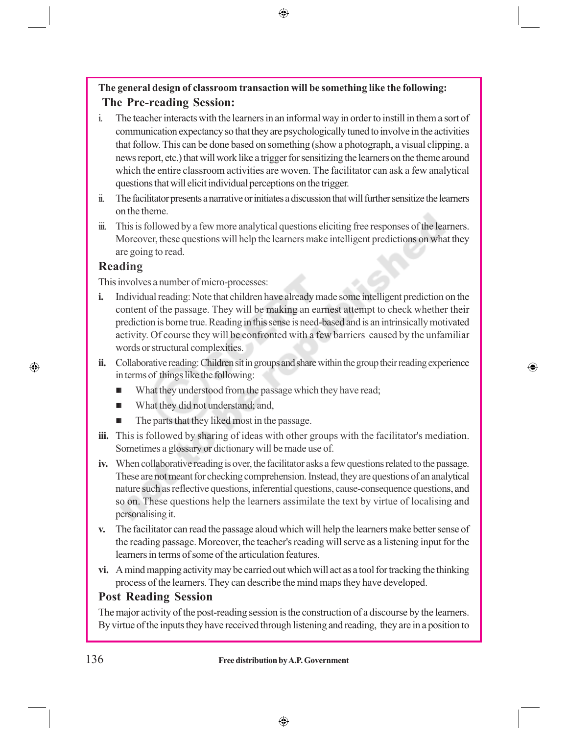## **The general design of classroom transaction will be something like the following: The Pre-reading Session:**

⊕

- i. The teacher interacts with the learners in an informal way in order to instill in them a sort of communication expectancy so that they are psychologically tuned to involve in the activities that follow. This can be done based on something (show a photograph, a visual clipping, a news report, etc.) that will work like a trigger for sensitizing the learners on the theme around which the entire classroom activities are woven. The facilitator can ask a few analytical questions that will elicit individual perceptions on the trigger.
- ii. The facilitator presents a narrative or initiates a discussion that will further sensitize the learners on the theme.
- iii. This is followed by a few more analytical questions eliciting free responses of the learners. Moreover, these questions will help the learners make intelligent predictions on what they are going to read.

## **Reading**

 $\bigcirc$ 

This involves a number of micro-processes:

- **i.** Individual reading: Note that children have already made some intelligent prediction on the content of the passage. They will be making an earnest attempt to check whether their prediction is borne true. Reading in this sense is need-based and is an intrinsically motivated activity. Of course they will be confronted with a few barriers caused by the unfamiliar words or structural complexities.
- **ii.** Collaborative reading: Children sit in groups and share within the group their reading experience in terms of things like the following:

⊕

- What they understood from the passage which they have read;
- **No. 3.4** What they did not understand; and,
- $\blacksquare$  The parts that they liked most in the passage.
- **iii.** This is followed by sharing of ideas with other groups with the facilitator's mediation. Sometimes a glossary or dictionary will be made use of.
- **iv.** When collaborative reading is over, the facilitator asks a few questions related to the passage. These are not meant for checking comprehension. Instead, they are questions of an analytical nature such as reflective questions, inferential questions, cause-consequence questions, and so on. These questions help the learners assimilate the text by virtue of localising and personalising it.
- **v.** The facilitator can read the passage aloud which will help the learners make better sense of the reading passage. Moreover, the teacher's reading will serve as a listening input for the learners in terms of some of the articulation features.
- **vi.** A mind mapping activity may be carried out which will act as a tool for tracking the thinking process of the learners. They can describe the mind maps they have developed.

### **Post Reading Session**

The major activity of the post-reading session is the construction of a discourse by the learners. By virtue of the inputs they have received through listening and reading, they are in a position to

### 136 **Free distribution by A.P. Government**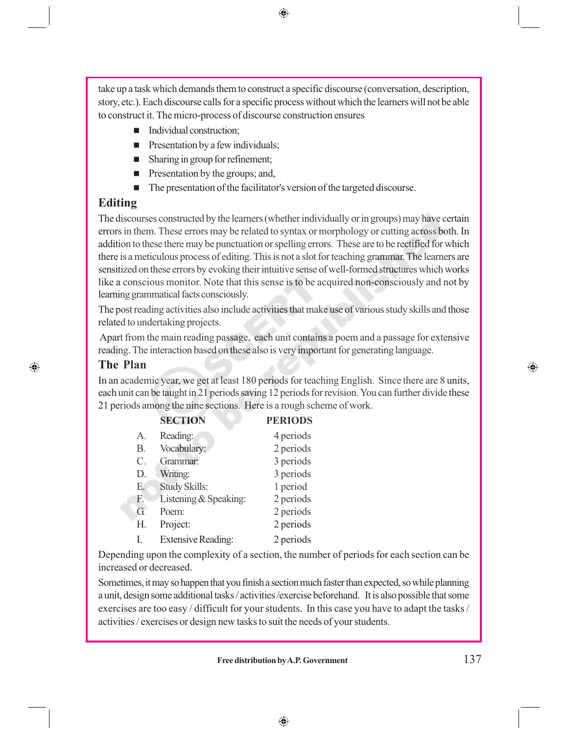⊕

take up a task which demands them to construct a specific discourse (conversation, description, story, etc.). Each discourse calls for a specific process without which the learners will not be able to construct it. The micro-process of discourse construction ensures

- Individual construction;
- $\blacksquare$  Presentation by a few individuals;
- Sharing in group for refinement;
- **Presentation by the groups; and,**
- The presentation of the facilitator's version of the targeted discourse.

## **Editing**

The discourses constructed by the learners (whether individually or in groups) may have certain errors in them. These errors may be related to syntax or morphology or cutting across both. In addition to these there may be punctuation or spelling errors. These are to be rectified for which there is a meticulous process of editing. This is not a slot for teaching grammar. The learners are sensitized on these errors by evoking their intuitive sense of well-formed structures which works like a conscious monitor. Note that this sense is to be acquired non-consciously and not by learning grammatical facts consciously.

The post reading activities also include activities that make use of various study skills and those related to undertaking projects.

 Apart from the main reading passage, each unit contains a poem and a passage for extensive reading. The interaction based on these also is very important for generating language.

#### **The Plan**

⊕

In an academic year, we get at least 180 periods for teaching English. Since there are 8 units, each unit can be taught in 21 periods saving 12 periods for revision. You can further divide these 21 periods among the nine sections. Here is a rough scheme of work.

|                 | <b>SECTION</b>            | <b>PERIODS</b> |
|-----------------|---------------------------|----------------|
| $A_{\cdot}$     | Reading:                  | 4 periods      |
| В.              | Vocabulary:               | 2 periods      |
| $\mathcal{C}$ . | Grammar:                  | 3 periods      |
| D.              | Writing:                  | 3 periods      |
| Е.              | <b>Study Skills:</b>      | 1 period       |
| F.              | Listening & Speaking:     | 2 periods      |
| G               | Poem:                     | 2 periods      |
| Н.              | Project:                  | 2 periods      |
| I.              | <b>Extensive Reading:</b> | 2 periods      |
|                 |                           |                |

Depending upon the complexity of a section, the number of periods for each section can be increased or decreased.

Sometimes, it may so happen that you finish a section much faster than expected, so while planning a unit, design some additional tasks / activities /exercise beforehand. It is also possible that some exercises are too easy / difficult for your students. In this case you have to adapt the tasks / activities / exercises or design new tasks to suit the needs of your students.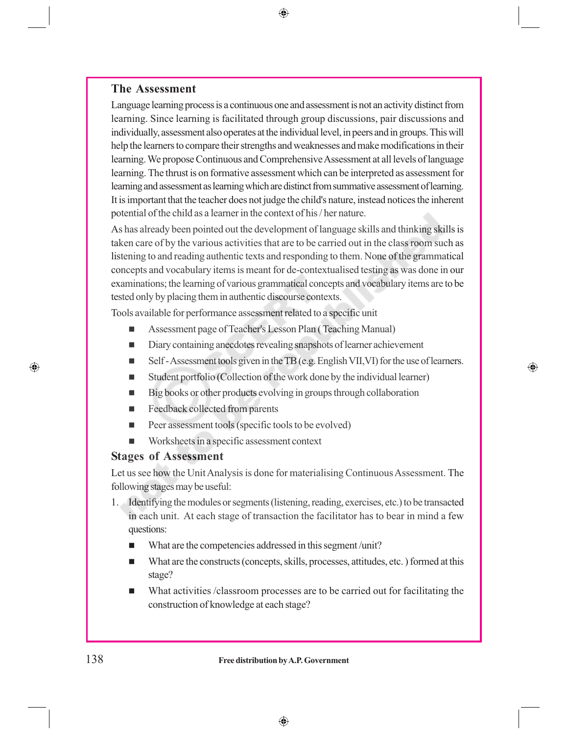#### **The Assessment**

Language learning process is a continuous one and assessment is not an activity distinct from learning. Since learning is facilitated through group discussions, pair discussions and individually, assessment also operates at the individual level, in peers and in groups. This will help the learners to compare their strengths and weaknesses and make modifications in their learning. We propose Continuous and Comprehensive Assessment at all levels of language learning. The thrust is on formative assessment which can be interpreted as assessment for learning and assessment as learning which are distinct from summative assessment of learning. It is important that the teacher does not judge the child's nature, instead notices the inherent potential of the child as a learner in the context of his / her nature.

 $\bigoplus$ 

As has already been pointed out the development of language skills and thinking skills is taken care of by the various activities that are to be carried out in the class room such as listening to and reading authentic texts and responding to them. None of the grammatical concepts and vocabulary items is meant for de-contextualised testing as was done in our examinations; the learning of various grammatical concepts and vocabulary items are to be tested only by placing them in authentic discourse contexts.

Tools available for performance assessment related to a specific unit

- Assessment page of Teacher's Lesson Plan (Teaching Manual)
- Diary containing anecdotes revealing snapshots of learner achievement
- Self Assessment tools given in the TB (e.g. English VII, VI) for the use of learners.

⊕

- Student portfolio (Collection of the work done by the individual learner)
- Big books or other products evolving in groups through collaboration
- Feedback collected from parents
- $\blacksquare$  Peer assessment tools (specific tools to be evolved)
- Worksheets in a specific assessment context

#### **Stages of Assessment**

Let us see how the Unit Analysis is done for materialising Continuous Assessment. The following stages may be useful:

- 1. Identifying the modules or segments (listening, reading, exercises, etc.) to be transacted in each unit. At each stage of transaction the facilitator has to bear in mind a few questions:
	- What are the competencies addressed in this segment/unit?
	- What are the constructs (concepts, skills, processes, attitudes, etc.) formed at this stage?
	- What activities /classroom processes are to be carried out for facilitating the construction of knowledge at each stage?

◈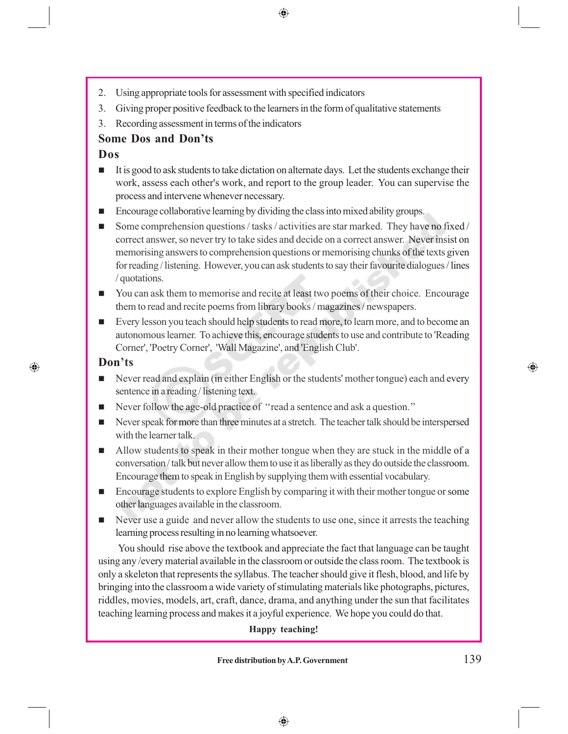⊕

- 2. Using appropriate tools for assessment with specified indicators
- 3. Giving proper positive feedback to the learners in the form of qualitative statements
- 3. Recording assessment in terms of the indicators

### **Some Dos and Don'ts**

#### **Dos**

- It is good to ask students to take dictation on alternate days. Let the students exchange their work, assess each other's work, and report to the group leader. You can supervise the process and intervene whenever necessary.
- Encourage collaborative learning by dividing the class into mixed ability groups.
- Some comprehension questions / tasks / activities are star marked. They have no fixed / correct answer, so never try to take sides and decide on a correct answer. Never insist on memorising answers to comprehension questions or memorising chunks of the texts given for reading / listening. However, you can ask students to say their favourite dialogues / lines / quotations.
- You can ask them to memorise and recite at least two poems of their choice. Encourage them to read and recite poems from library books / magazines / newspapers.
- Every lesson you teach should help students to read more, to learn more, and to become an autonomous learner. To achieve this, encourage students to use and contribute to 'Reading Corner', 'Poetry Corner', 'Wall Magazine', and 'English Club'.

#### **Don'ts**

⊕

- Never read and explain (in either English or the students' mother tongue) each and every sentence in a reading / listening text.
- Never follow the age-old practice of "read a sentence and ask a question."
- Never speak for more than three minutes at a stretch. The teacher talk should be interspersed with the learner talk.
- Allow students to speak in their mother tongue when they are stuck in the middle of a conversation / talk but never allow them to use it as liberally as they do outside the classroom. Encourage them to speak in English by supplying them with essential vocabulary.
- Encourage students to explore English by comparing it with their mother tongue or some other languages available in the classroom.
- Never use a guide and never allow the students to use one, since it arrests the teaching learning process resulting in no learning whatsoever.

You should rise above the textbook and appreciate the fact that language can be taught using any /every material available in the classroom or outside the class room. The textbook is only a skeleton that represents the syllabus. The teacher should give it flesh, blood, and life by bringing into the classroom a wide variety of stimulating materials like photographs, pictures, riddles, movies, models, art, craft, dance, drama, and anything under the sun that facilitates teaching learning process and makes it a joyful experience. We hope you could do that.

#### **Happy teaching!**

## Free distribution by A.P. Government 139